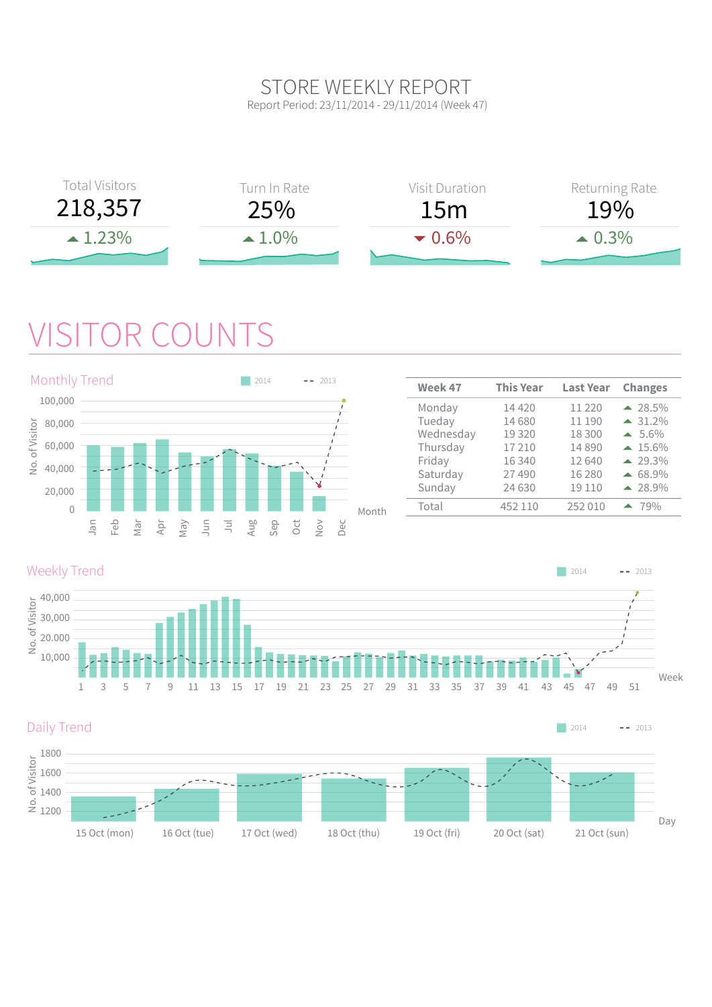#### STORE WEEKLY REPORT Report Period: 23/11/2014 - 29/11/2014 (Week 47)



## VISITOR COUNTS





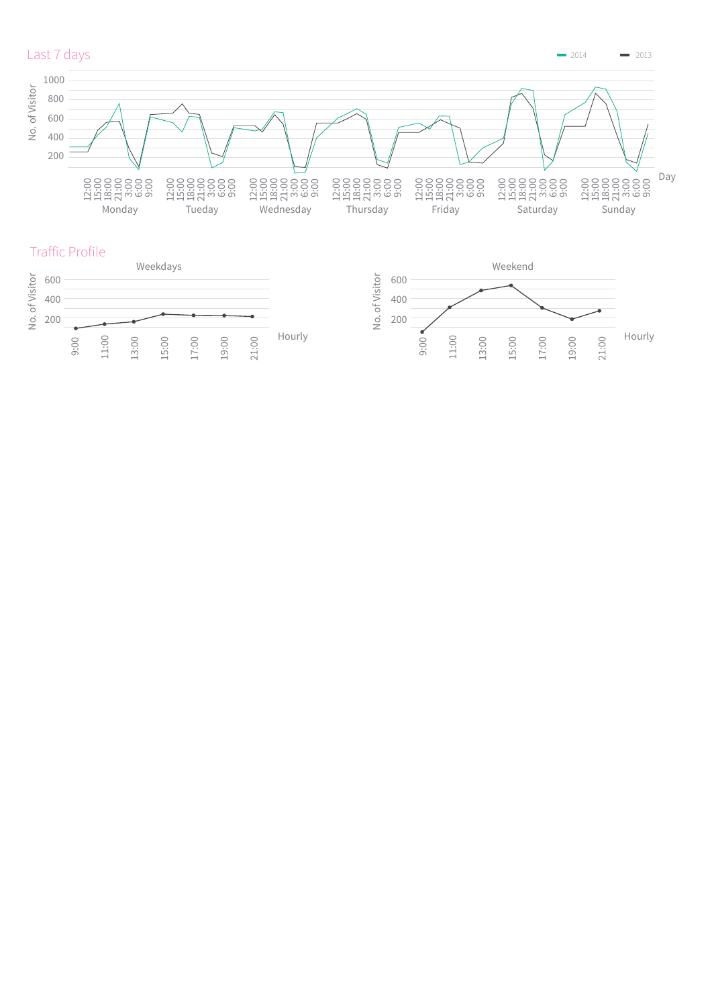

 $2014$   $2013$ 





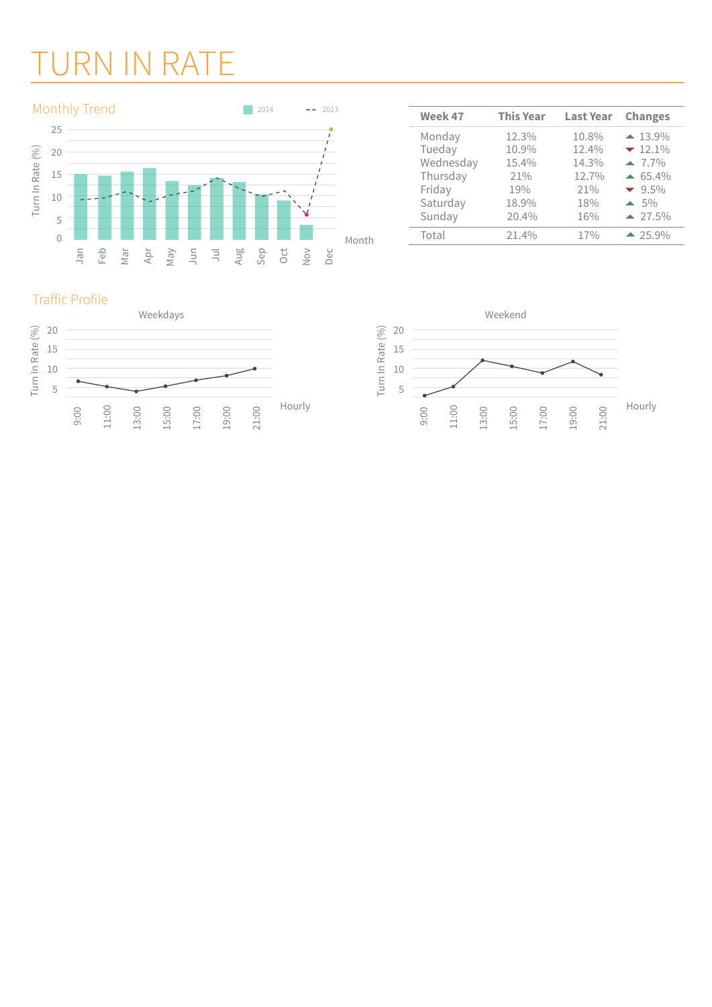# URN IN RATE



| Week 47   | <b>This Year</b> | <b>Last Year</b> | <b>Changes</b>    |
|-----------|------------------|------------------|-------------------|
| Monday    | 12.3%            | 10.8%            | $\triangle$ 13.9% |
| Tueday    | 10.9%            | 12.4%            | $-12.1%$          |
| Wednesday | 15.4%            | 14.3%            | $-7.7\%$          |
| Thursday  | 21%              | 12.7%            | $\triangle$ 65.4% |
| Friday    | 19%              | 21%              | $-9.5\%$          |
| Saturday  | 18.9%            | 18%              | $\triangle$ 5%    |
| Sunday    | 20.4%            | 16%              | $\triangle$ 27.5% |
| Total     | 21.4%            | 17%              | $-25.9%$          |



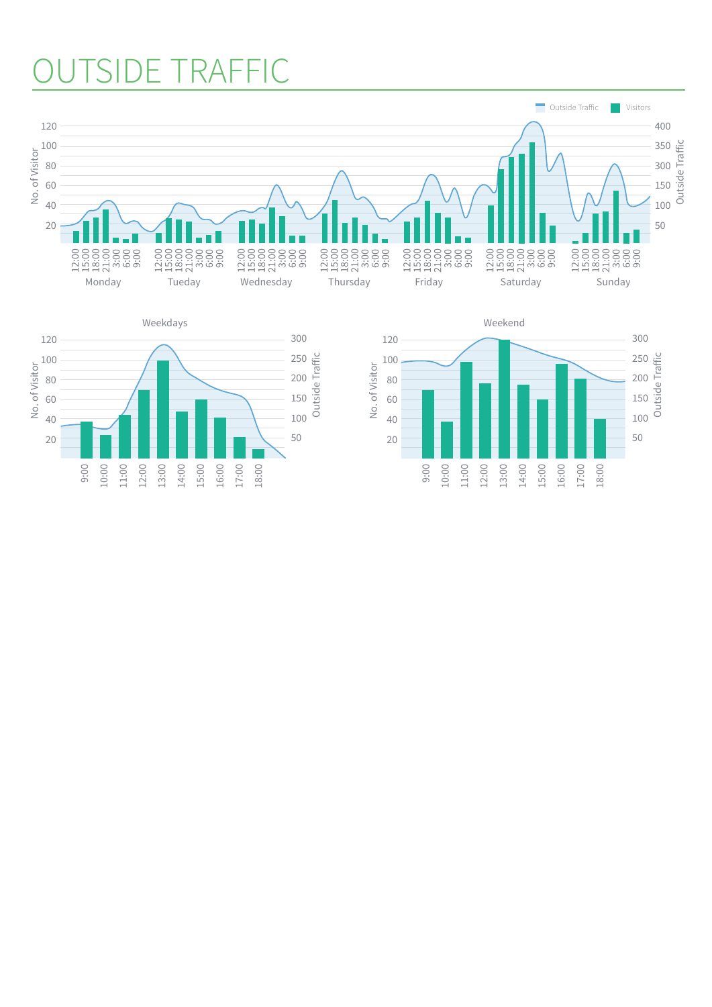#### TSIDE TRAFFIC



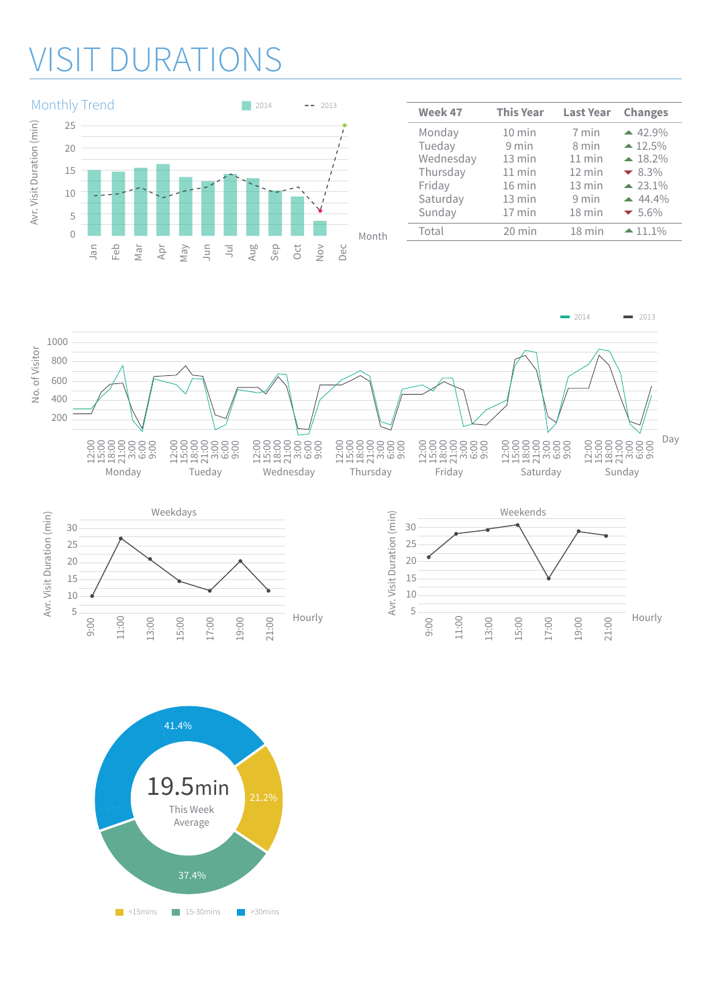### **DURATIONS**



| Week 47   | <b>This Year</b> | <b>Last Year</b> | <b>Changes</b>         |
|-----------|------------------|------------------|------------------------|
| Monday    | $10$ min         | 7 min            | $-42.9\%$              |
| Tueday    | 9 min            | 8 min            | $\triangle 12.5\%$     |
| Wednesday | $13$ min         | $11$ min         | $\blacktriangle$ 18.2% |
| Thursday  | $11$ min         | $12 \text{ min}$ | $-8.3%$                |
| Friday    | $16$ min         | 13 min           | $\triangle 23.1\%$     |
| Saturday  | $13 \text{ min}$ | 9 min            | $-44.4\%$              |
| Sunday    | $17$ min         | 18 min           | $-5.6\%$               |
| Total     | $20$ min         | $18$ min         | $-11.1\%$              |
|           |                  |                  |                        |







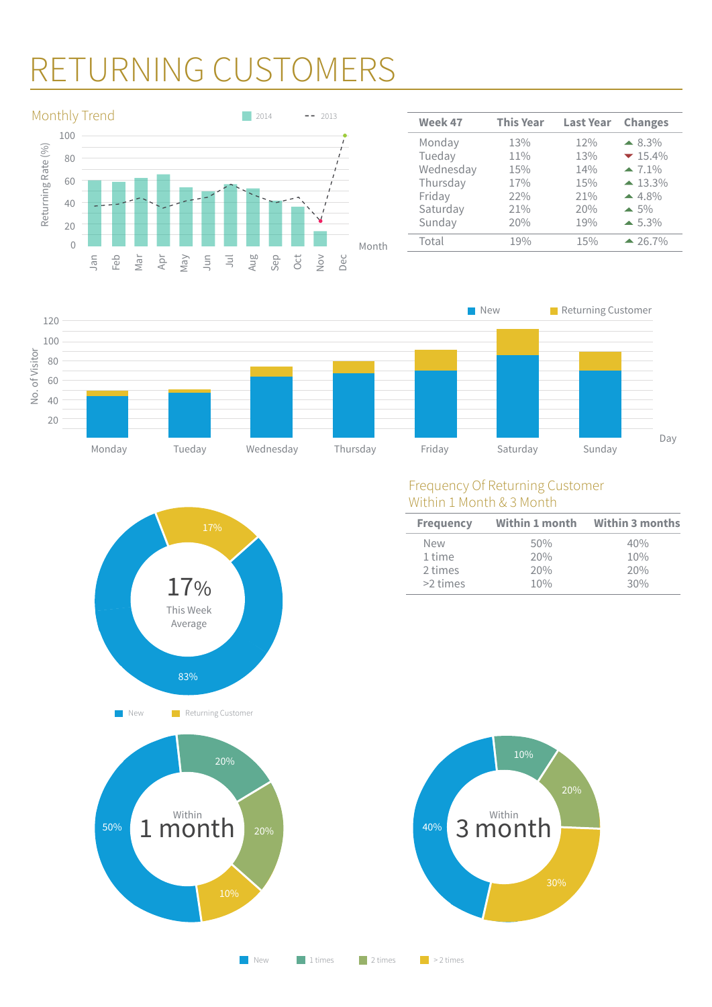## RETURNING CUSTOMERS



| Week 47   | <b>This Year</b> | <b>Last Year</b> | <b>Changes</b>        |
|-----------|------------------|------------------|-----------------------|
| Monday    | 13%              | 12%              | $\triangle$ 8.3%      |
| Tueday    | 11%              | 13%              | $-15.4\%$             |
| Wednesday | 15%              | 14%              | $-7.1%$               |
| Thursday  | 17%              | 15%              | $\triangle$ 13.3%     |
| Friday    | 22%              | 21%              | $-4.8%$               |
| Saturday  | 21%              | 20%              | $\blacktriangle$ 5%   |
| Sunday    | 20%              | 19%              | $\blacktriangle$ 5.3% |
| Total     | 19%              | 15%              | $-26.7\%$             |
|           |                  |                  |                       |







| <b>Frequency</b> | Within 1 month | <b>Within 3 months</b> |  |
|------------------|----------------|------------------------|--|
| <b>New</b>       | 50%            | 40%                    |  |
| 1 time           | 20%            | 10%                    |  |
| 2 times          | 20%            | 20%                    |  |
| >2 times         | 10%            | 30%                    |  |





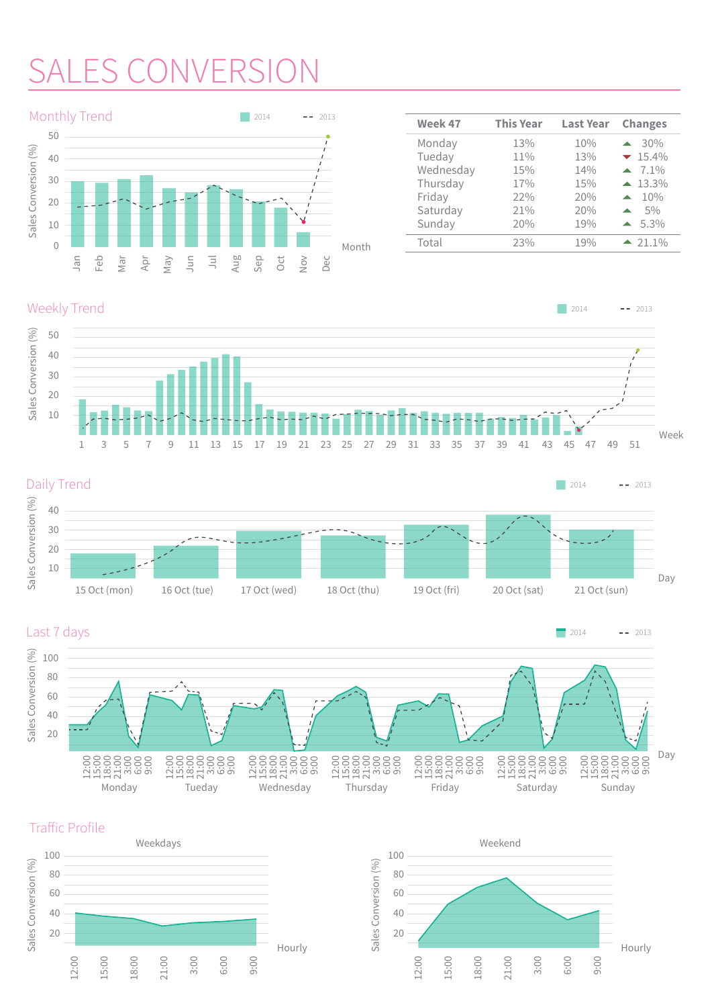# AI ES CONVE



| Week 47   | <b>This Year</b> | <b>Last Year</b> | <b>Changes</b>          |
|-----------|------------------|------------------|-------------------------|
| Monday    | 13%              | 10%              | 30%                     |
| Tueday    | 11%              | 13%              | $-15.4\%$               |
| Wednesday | 15%              | 14%              | $-7.1\%$                |
| Thursday  | 17%              | 15%              | $-13.3\%$               |
| Friday    | 22%              | 20%              | 10%<br>$\blacktriangle$ |
| Saturday  | 21%              | 20%              | 5%<br>$\blacktriangle$  |
| Sunday    | 20%              | 19%              | $\triangle$ 5.3%        |
| Total     | 23%              | 19%              | $-21.1\%$               |
|           |                  |                  |                         |

#### Weekly Trend